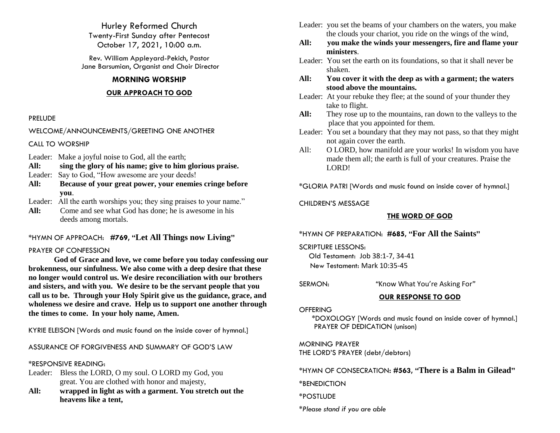Hurley Reformed Church Twenty-First Sunday after Pentecost October 17, 2021, 10:00 a.m.

Rev. William Appleyard-Pekich, Pastor Jane Barsumian, Organist and Choir Director

## **MORNING WORSHIP**

## **OUR APPROACH TO GOD**

### PRELUDE

WELCOME/ANNOUNCEMENTS/GREETING ONE ANOTHER

CALL TO WORSHIP

- Leader: Make a joyful noise to God, all the earth;
- **All: sing the glory of his name; give to him glorious praise.**
- Leader: Say to God, "How awesome are your deeds!
- **All: Because of your great power, your enemies cringe before you**.
- Leader: All the earth worships you; they sing praises to your name."
- **All:** Come and see what God has done; he is awesome in his deeds among mortals.

# \*HYMN OF APPROACH: **#769, "Let All Things now Living"**

## PRAYER OF CONFESSION

**God of Grace and love, we come before you today confessing our brokenness, our sinfulness. We also come with a deep desire that these no longer would control us. We desire reconciliation with our brothers and sisters, and with you. We desire to be the servant people that you call us to be. Through your Holy Spirit give us the guidance, grace, and wholeness we desire and crave. Help us to support one another through the times to come. In your holy name, Amen.** 

KYRIE ELEISON [Words and music found on the inside cover of hymnal.]

ASSURANCE OF FORGIVENESS AND SUMMARY OF GOD'S LAW

## \*RESPONSIVE READING:

- Leader: Bless the LORD, O my soul. O LORD my God, you great. You are clothed with honor and majesty,
- **All: wrapped in light as with a garment. You stretch out the heavens like a tent,**
- Leader: you set the beams of your chambers on the waters, you make the clouds your chariot, you ride on the wings of the wind,
- **All: you make the winds your messengers, fire and flame your ministers**.
- Leader:You set the earth on its foundations, so that it shall never be shaken.
- **All: You cover it with the deep as with a garment; the waters stood above the mountains.**
- Leader: At your rebuke they flee; at the sound of your thunder they take to flight.
- **All:** They rose up to the mountains, ran down to the valleys to the place that you appointed for them.
- Leader: You set a boundary that they may not pass, so that they might not again cover the earth.
- All: O LORD, how manifold are your works! In wisdom you have made them all; the earth is full of your creatures. Praise the LORD!

\*GLORIA PATRI [Words and music found on inside cover of hymnal.]

CHILDREN'S MESSAGE

# **THE WORD OF GOD**

\*HYMN OF PREPARATION: **#685, "For All the Saints"**

SCRIPTURE LESSONS:

 Old Testament: Job 38:1-7, 34-41 New Testament: Mark 10:35-45

SERMON: *"*Know What You're Asking For*"*

# **OUR RESPONSE TO GOD**

# **OFFERING**

\*DOXOLOGY [Words and music found on inside cover of hymnal.] PRAYER OF DEDICATION (unison)

MORNING PRAYER THE LORD'S PRAYER (debt/debtors)

\*HYMN OF CONSECRATION**: #563, "There is a Balm in Gilead"**

\*BENEDICTION

\*POSTLUDE

*\*Please stand if you are able*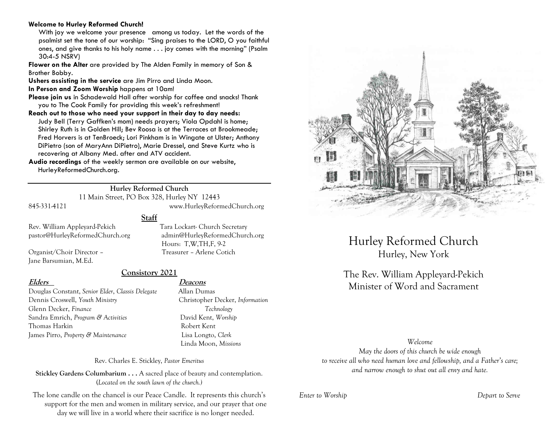#### **Welcome to Hurley Reformed Church!**

With joy we welcome your presence among us today. Let the words of the psalmist set the tone of our worship: "Sing praises to the LORD, O you faithful ones, and give thanks to his holy name . . . joy comes with the morning" (Psalm 30:4-5 NSRV)

**Flower on the Alter** are provided by The Alden Family in memory of Son & Brother Bobby.

**Ushers assisting in the service** are Jim Pirro and Linda Moon.

**In Person and Zoom Worship** happens at 10am!

**Please join us** in Schadewald Hall after worship for coffee and snacks! Thank you to The Cook Family for providing this week's refreshment!

**Reach out to those who need your support in their day to day needs:**  Judy Bell (Terry Gaffken's mom) needs prayers; Viola Opdahl is home; Shirley Ruth is in Golden Hill; Bev Roosa is at the Terraces at Brookmeade; Fred Horvers is at TenBroeck; Lori Pinkham is in Wingate at Ulster; Anthony DiPietro (son of MaryAnn DiPietro), Marie Dressel, and Steve Kurtz who is recovering at Albany Med. after and ATV accident.

**Audio recordings** of the weekly sermon are available on our website, HurleyReformedChurch.org.

# **Hurley Reformed Church**

11 Main Street, PO Box 328, Hurley NY 12443 845-331-4121 www.HurleyReformedChurch.org

Rev. William Appleyard-Pekich Tara Lockart- Church Secretary

Jane Barsumian, M.Ed.

pastor@HurleyReformedChurch.org admin@HurleyReformedChurch.org Hours: T,W,TH,F, 9-2 Organist/Choir Director – Treasurer – Arlene Cotich

**Staff**

**Consistory 2021**

Douglas Constant, *Senior Elder*, *Classis Delegate* Allan Dumas Dennis Croswell, *Youth Ministry* Christopher Decker, *Information* Glenn Decker, *Finance Technology* Sandra Emrich, *Program & Activities* David Kent, *Worship* Thomas Harkin Robert Kent James Pirro, *Property & Maintenance* Lisa Longto, *Clerk*

#### **Elders Deacons**

Linda Moon, *Missions*

Rev. Charles E. Stickley, *Pastor Emeritus*

**Stickley Gardens Columbarium . . .** A sacred place of beauty and contemplation. (*Located on the south lawn of the church.)* 

The lone candle on the chancel is our Peace Candle. It represents this church's support for the men and women in military service, and our prayer that one day we will live in a world where their sacrifice is no longer needed.



Hurley Reformed Church Hurley, New York

The Rev. William Appleyard-Pekich Minister of Word and Sacrament

*Welcome*

*May the doors of this church be wide enough to receive all who need human love and fellowship, and a Father's care; and narrow enough to shut out all envy and hate.*

*Enter to Worship Depart to Serve*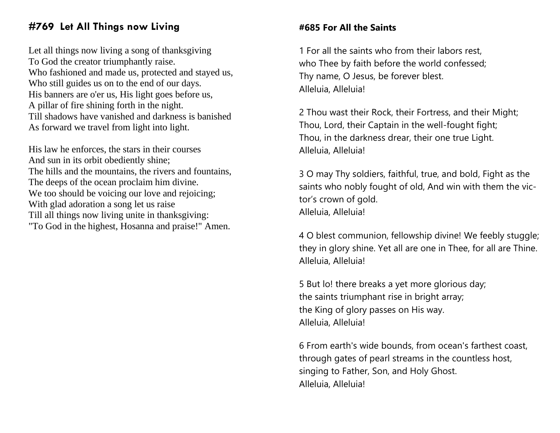# **#769 Let All Things now Living**

Let all things now living a song of thanksgiving To God the creator triumphantly raise. Who fashioned and made us, protected and stayed us, Who still guides us on to the end of our days. His banners are o'er us, His light goes before us, A pillar of fire shining forth in the night. Till shadows have vanished and darkness is banished As forward we travel from light into light.

His law he enforces, the stars in their courses And sun in its orbit obediently shine; The hills and the mountains, the rivers and fountains, The deeps of the ocean proclaim him divine. We too should be voicing our love and rejoicing; With glad adoration a song let us raise Till all things now living unite in thanksgiving: "To God in the highest, Hosanna and praise!" Amen.

# **#685 For All the Saints**

1 For all the saints who from their labors rest, who Thee by faith before the world confessed; Thy name, O Jesus, be forever blest. Alleluia, Alleluia!

2 Thou wast their Rock, their Fortress, and their Might; Thou, Lord, their Captain in the well-fought fight; Thou, in the darkness drear, their one true Light. Alleluia, Alleluia!

3 O may Thy soldiers, faithful, true, and bold, Fight as the saints who nobly fought of old, And win with them the victor's crown of gold. Alleluia, Alleluia!

4 O blest communion, fellowship divine! We feebly stuggle; they in glory shine. Yet all are one in Thee, for all are Thine. Alleluia, Alleluia!

5 But lo! there breaks a yet more glorious day; the saints triumphant rise in bright array; the King of glory passes on His way. Alleluia, Alleluia!

6 From earth's wide bounds, from ocean's farthest coast, through gates of pearl streams in the countless host, singing to Father, Son, and Holy Ghost. Alleluia, Alleluia!